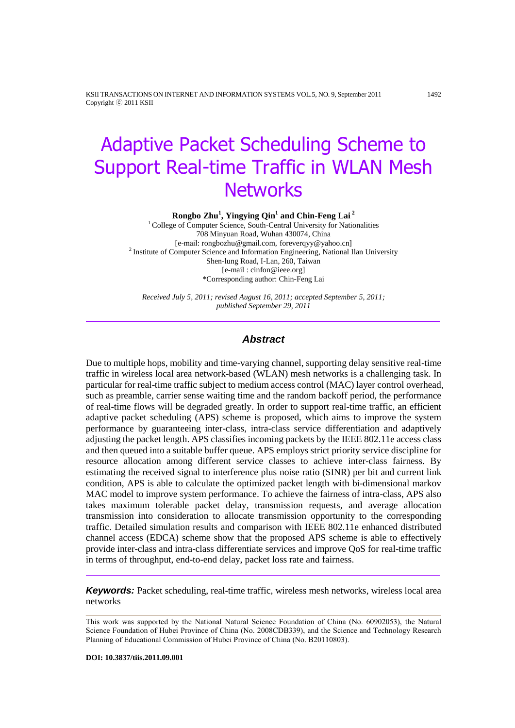KSII TRANSACTIONS ON INTERNET AND INFORMATION SYSTEMS VOL.5, NO. 9, September 2011 1492 Copyright ⓒ 2011 KSII

# Adaptive Packet Scheduling Scheme to Support Real-time Traffic in WLAN Mesh **Networks**

**Rongbo Zhu<sup>1</sup> , Yingying Qin<sup>1</sup> and Chin-Feng Lai <sup>2</sup>**

<sup>1</sup> College of Computer Science, South-Central University for Nationalities 708 Minyuan Road, Wuhan 430074, China [e-mail: rongbozhu@gmail.com, foreverqyy@yahoo.cn] <sup>2</sup> Institute of Computer Science and Information Engineering, National Ilan University Shen-lung Road, I-Lan, 260, Taiwan [e-mail : cinfon@ieee.org] \*Corresponding author: Chin-Feng Lai

*Received July 5, 2011; revised August 16, 2011; accepted September 5, 2011; published September 29, 2011*

#### *Abstract*

Due to multiple hops, mobility and time-varying channel, supporting delay sensitive real-time traffic in wireless local area network-based (WLAN) mesh networks is a challenging task. In particular for real-time traffic subject to medium access control (MAC) layer control overhead, such as preamble, carrier sense waiting time and the random backoff period, the performance of real-time flows will be degraded greatly. In order to support real-time traffic, an efficient adaptive packet scheduling (APS) scheme is proposed, which aims to improve the system performance by guaranteeing inter-class, intra-class service differentiation and adaptively adjusting the packet length. APS classifies incoming packets by the IEEE 802.11e access class and then queued into a suitable buffer queue. APS employs strict priority service discipline for resource allocation among different service classes to achieve inter-class fairness. By estimating the received signal to interference plus noise ratio (SINR) per bit and current link condition, APS is able to calculate the optimized packet length with bi-dimensional markov MAC model to improve system performance. To achieve the fairness of intra-class, APS also takes maximum tolerable packet delay, transmission requests, and average allocation transmission into consideration to allocate transmission opportunity to the corresponding traffic. Detailed simulation results and comparison with IEEE 802.11e enhanced distributed channel access (EDCA) scheme show that the proposed APS scheme is able to effectively provide inter-class and intra-class differentiate services and improve QoS for real-time traffic in terms of throughput, end-to-end delay, packet loss rate and fairness.

**Keywords:** Packet scheduling, real-time traffic, wireless mesh networks, wireless local area networks

This work was supported by the National Natural Science Foundation of China (No. 60902053), the Natural Science Foundation of Hubei Province of China (No. 2008CDB339), and the Science and Technology Research Planning of Educational Commission of Hubei Province of China (No. B20110803).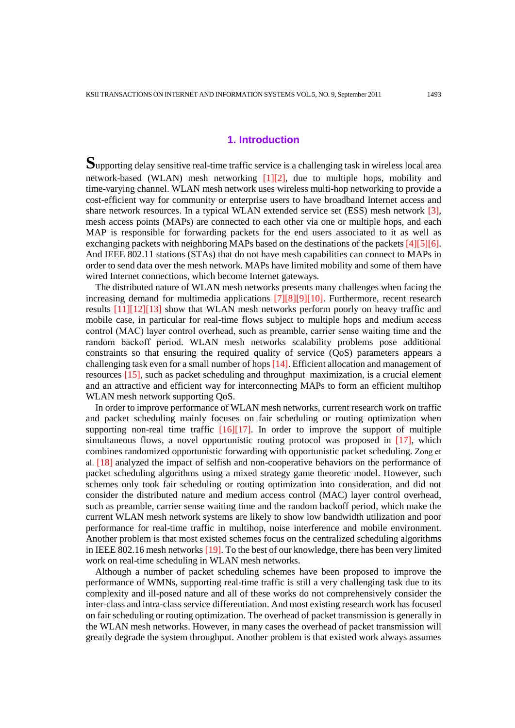# **1. Introduction**

**S**upporting delay sensitive real-time traffic service is a challenging task in wireless local area network-based (WLAN) mesh networking [1][2], due to multiple hops, mobility and time-varying channel. WLAN mesh network uses wireless multi-hop networking to provide a cost-efficient way for community or enterprise users to have broadband Internet access and share network resources. In a typical WLAN extended service set (ESS) mesh network [3], mesh access points (MAPs) are connected to each other via one or multiple hops, and each MAP is responsible for forwarding packets for the end users associated to it as well as exchanging packets with neighboring MAPs based on the destinations of the packets [4][5][6]. And IEEE 802.11 stations (STAs) that do not have mesh capabilities can connect to MAPs in order to send data over the mesh network. MAPs have limited mobility and some of them have wired Internet connections, which become Internet gateways.

The distributed nature of WLAN mesh networks presents many challenges when facing the increasing demand for multimedia applications [7][8][9][10]. Furthermore, recent research results [11][12][13] show that WLAN mesh networks perform poorly on heavy traffic and mobile case, in particular for real-time flows subject to multiple hops and medium access control (MAC) layer control overhead, such as preamble, carrier sense waiting time and the random backoff period. WLAN mesh networks scalability problems pose additional constraints so that ensuring the required quality of service (QoS) parameters appears a challenging task even for a small number of hops [14]. Efficient allocation and management of resources [15], such as packet scheduling and throughput maximization, is a crucial element and an attractive and efficient way for interconnecting MAPs to form an efficient multihop WLAN mesh network supporting QoS.

In order to improve performance of WLAN mesh networks, current research work on traffic and packet scheduling mainly focuses on fair scheduling or routing optimization when supporting non-real time traffic  $[16][17]$ . In order to improve the support of multiple simultaneous flows, a novel opportunistic routing protocol was proposed in [17], which combines randomized opportunistic forwarding with opportunistic packet scheduling. Zong et al. [18] analyzed the impact of selfish and non-cooperative behaviors on the performance of packet scheduling algorithms using a mixed strategy game theoretic model. However, such schemes only took fair scheduling or routing optimization into consideration, and did not consider the distributed nature and medium access control (MAC) layer control overhead, such as preamble, carrier sense waiting time and the random backoff period, which make the current WLAN mesh network systems are likely to show low bandwidth utilization and poor performance for real-time traffic in multihop, noise interference and mobile environment. Another problem is that most existed schemes focus on the centralized scheduling algorithms in IEEE 802.16 mesh networks [19]. To the best of our knowledge, there has been very limited work on real-time scheduling in WLAN mesh networks.

Although a number of packet scheduling schemes have been proposed to improve the performance of WMNs, supporting real-time traffic is still a very challenging task due to its complexity and ill-posed nature and all of these works do not comprehensively consider the inter-class and intra-class service differentiation. And most existing research work has focused on fair scheduling or routing optimization. The overhead of packet transmission is generally in the WLAN mesh networks. However, in many cases the overhead of packet transmission will greatly degrade the system throughput. Another problem is that existed work always assumes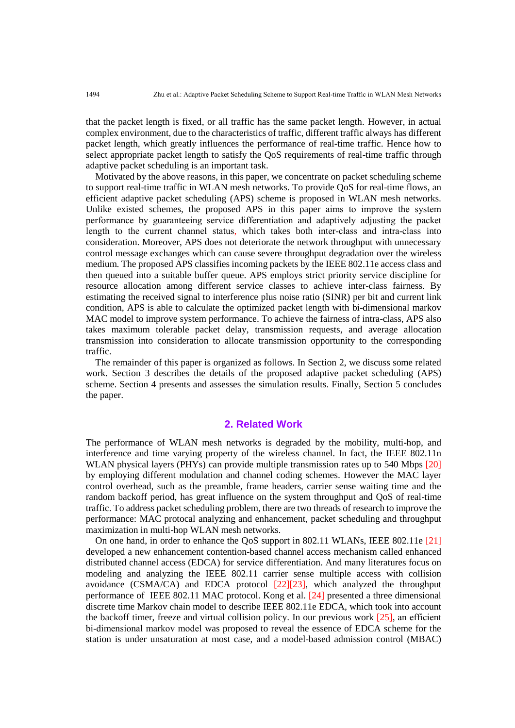that the packet length is fixed, or all traffic has the same packet length. However, in actual complex environment, due to the characteristics of traffic, different traffic always has different packet length, which greatly influences the performance of real-time traffic. Hence how to select appropriate packet length to satisfy the QoS requirements of real-time traffic through adaptive packet scheduling is an important task.

Motivated by the above reasons, in this paper, we concentrate on packet scheduling scheme to support real-time traffic in WLAN mesh networks. To provide QoS for real-time flows, an efficient adaptive packet scheduling (APS) scheme is proposed in WLAN mesh networks. Unlike existed schemes, the proposed APS in this paper aims to improve the system performance by guaranteeing service differentiation and adaptively adjusting the packet length to the current channel status, which takes both inter-class and intra-class into consideration. Moreover, APS does not deteriorate the network throughput with unnecessary control message exchanges which can cause severe throughput degradation over the wireless medium. The proposed APS classifies incoming packets by the IEEE 802.11e access class and then queued into a suitable buffer queue. APS employs strict priority service discipline for resource allocation among different service classes to achieve inter-class fairness. By estimating the received signal to interference plus noise ratio (SINR) per bit and current link condition, APS is able to calculate the optimized packet length with bi-dimensional markov MAC model to improve system performance. To achieve the fairness of intra-class, APS also takes maximum tolerable packet delay, transmission requests, and average allocation transmission into consideration to allocate transmission opportunity to the corresponding traffic.

The remainder of this paper is organized as follows. In Section 2, we discuss some related work. Section 3 describes the details of the proposed adaptive packet scheduling (APS) scheme. Section 4 presents and assesses the simulation results. Finally, Section 5 concludes the paper.

#### **2. Related Work**

The performance of WLAN mesh networks is degraded by the mobility, multi-hop, and interference and time varying property of the wireless channel. In fact, the IEEE 802.11n WLAN physical layers (PHYs) can provide multiple transmission rates up to 540 Mbps [20] by employing different modulation and channel coding schemes. However the MAC layer control overhead, such as the preamble, frame headers, carrier sense waiting time and the random backoff period, has great influence on the system throughput and QoS of real-time traffic. To address packet scheduling problem, there are two threads of research to improve the performance: MAC protocal analyzing and enhancement, packet scheduling and throughput maximization in multi-hop WLAN mesh networks.

On one hand, in order to enhance the QoS support in 802.11 WLANs, IEEE 802.11e [21] developed a new enhancement contention-based channel access mechanism called enhanced distributed channel access (EDCA) for service differentiation. And many literatures focus on modeling and analyzing the IEEE 802.11 carrier sense multiple access with collision avoidance (CSMA/CA) and EDCA protocol [22][23], which analyzed the throughput performance of IEEE 802.11 MAC protocol. Kong et al. [24] presented a three dimensional discrete time Markov chain model to describe IEEE 802.11e EDCA, which took into account the backoff timer, freeze and virtual collision policy. In our previous work  $[25]$ , an efficient bi-dimensional markov model was proposed to reveal the essence of EDCA scheme for the station is under unsaturation at most case, and a model-based admission control (MBAC)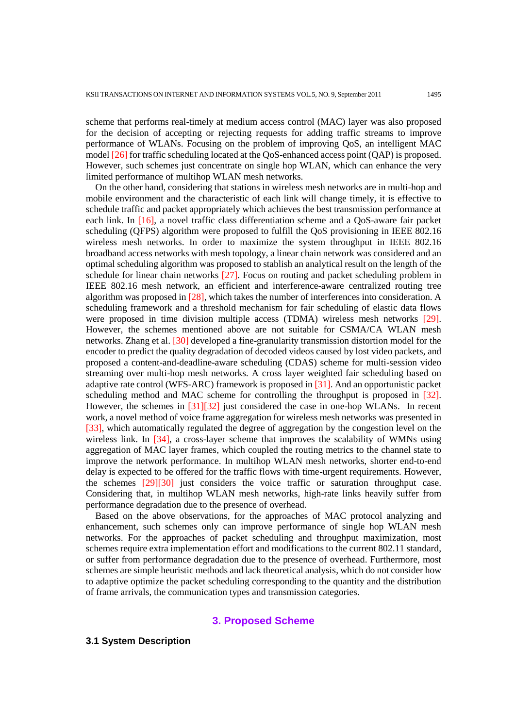scheme that performs real-timely at medium access control (MAC) layer was also proposed for the decision of accepting or rejecting requests for adding traffic streams to improve performance of WLANs. Focusing on the problem of improving QoS, an intelligent MAC model [26] for traffic scheduling located at the QoS-enhanced access point (QAP) is proposed. However, such schemes just concentrate on single hop WLAN, which can enhance the very limited performance of multihop WLAN mesh networks.

On the other hand, considering that stations in wireless mesh networks are in multi-hop and mobile environment and the characteristic of each link will change timely, it is effective to schedule traffic and packet appropriately which achieves the best transmission performance at each link. In [16], a novel traffic class differentiation scheme and a QoS-aware fair packet scheduling (QFPS) algorithm were proposed to fulfill the QoS provisioning in IEEE 802.16 wireless mesh networks. In order to maximize the system throughput in IEEE 802.16 broadband access networks with mesh topology, a linear chain network was considered and an optimal scheduling algorithm was proposed to stablish an analytical result on the length of the schedule for linear chain networks [27]. Focus on routing and packet scheduling problem in IEEE 802.16 mesh network, an efficient and interference-aware centralized routing tree algorithm was proposed in [28], which takes the number of interferences into consideration. A scheduling framework and a threshold mechanism for fair scheduling of elastic data flows were proposed in time division multiple access (TDMA) wireless mesh networks [29]. However, the schemes mentioned above are not suitable for CSMA/CA WLAN mesh networks. Zhang et al. [30] developed a fine-granularity transmission distortion model for the encoder to predict the quality degradation of decoded videos caused by lost video packets, and proposed a content-and-deadline-aware scheduling (CDAS) scheme for multi-session video streaming over multi-hop mesh networks. A cross layer weighted fair scheduling based on adaptive rate control (WFS-ARC) framework is proposed in [31]. And an opportunistic packet scheduling method and MAC scheme for controlling the throughput is proposed in [32]. However, the schemes in [31][32] just considered the case in one-hop WLANs. In recent work, a novel method of voice frame aggregation for wireless mesh networks was presented in [33], which automatically regulated the degree of aggregation by the congestion level on the wireless link. In  $[34]$ , a cross-layer scheme that improves the scalability of WMNs using aggregation of MAC layer frames, which coupled the routing metrics to the channel state to improve the network performance. In multihop WLAN mesh networks, shorter end-to-end delay is expected to be offered for the traffic flows with time-urgent requirements. However, the schemes [29][30] just considers the voice traffic or saturation throughput case. Considering that, in multihop WLAN mesh networks, high-rate links heavily suffer from performance degradation due to the presence of overhead.

Based on the above observations, for the approaches of MAC protocol analyzing and enhancement, such schemes only can improve performance of single hop WLAN mesh networks. For the approaches of packet scheduling and throughput maximization, most schemes require extra implementation effort and modifications to the current 802.11 standard, or suffer from performance degradation due to the presence of overhead. Furthermore, most schemes are simple heuristic methods and lack theoretical analysis, which do not consider how to adaptive optimize the packet scheduling corresponding to the quantity and the distribution of frame arrivals, the communication types and transmission categories.

## **3. Proposed Scheme**

# **3.1 System Description**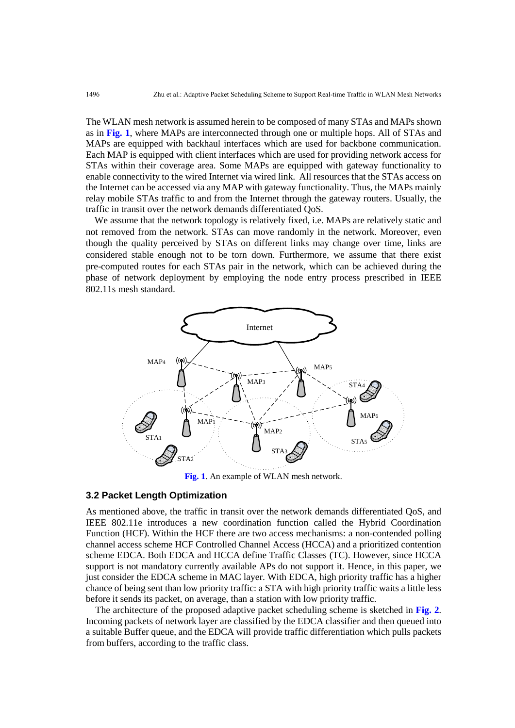The WLAN mesh network is assumed herein to be composed of many STAs and MAPs shown as in **Fig. 1**, where MAPs are interconnected through one or multiple hops. All of STAs and MAPs are equipped with backhaul interfaces which are used for backbone communication. Each MAP is equipped with client interfaces which are used for providing network access for STAs within their coverage area. Some MAPs are equipped with gateway functionality to enable connectivity to the wired Internet via wired link. All resources that the STAs access on the Internet can be accessed via any MAP with gateway functionality. Thus, the MAPs mainly relay mobile STAs traffic to and from the Internet through the gateway routers. Usually, the traffic in transit over the network demands differentiated QoS.

We assume that the network topology is relatively fixed, i.e. MAPs are relatively static and not removed from the network. STAs can move randomly in the network. Moreover, even though the quality perceived by STAs on different links may change over time, links are considered stable enough not to be torn down. Furthermore, we assume that there exist pre-computed routes for each STAs pair in the network, which can be achieved during the phase of network deployment by employing the node entry process prescribed in IEEE 802.11s mesh standard.



**Fig. 1**. An example of WLAN mesh network.

#### **3.2 Packet Length Optimization**

As mentioned above, the traffic in transit over the network demands differentiated QoS, and IEEE 802.11e introduces a new coordination function called the Hybrid Coordination Function (HCF). Within the HCF there are two access mechanisms: a non-contended polling channel access scheme HCF Controlled Channel Access (HCCA) and a prioritized contention scheme EDCA. Both EDCA and HCCA define Traffic Classes (TC). However, since HCCA support is not mandatory currently available APs do not support it. Hence, in this paper, we just consider the EDCA scheme in MAC layer. With EDCA, high priority traffic has a higher chance of being sent than low priority traffic: a STA with high priority traffic waits a little less before it sends its packet, on average, than a station with low priority traffic.

The architecture of the proposed adaptive packet scheduling scheme is sketched in **Fig. 2**. Incoming packets of network layer are classified by the EDCA classifier and then queued into a suitable Buffer queue, and the EDCA will provide traffic differentiation which pulls packets from buffers, according to the traffic class.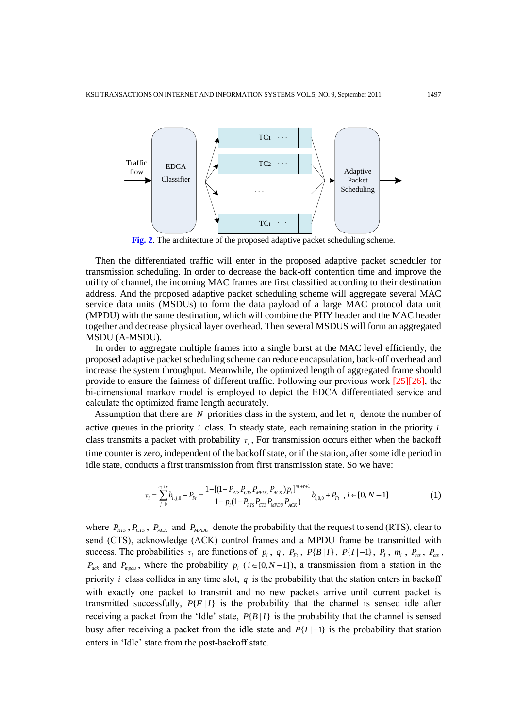

**Fig. 2**. The architecture of the proposed adaptive packet scheduling scheme.

Then the differentiated traffic will enter in the proposed adaptive packet scheduler for transmission scheduling. In order to decrease the back-off contention time and improve the utility of channel, the incoming MAC frames are first classified according to their destination address. And the proposed adaptive packet scheduling scheme will aggregate several MAC service data units (MSDUs) to form the data payload of a large MAC protocol data unit (MPDU) with the same destination, which will combine the PHY header and the MAC header together and decrease physical layer overhead. Then several MSDUS will form an aggregated MSDU (A-MSDU).

In order to aggregate multiple frames into a single burst at the MAC level efficiently, the proposed adaptive packet scheduling scheme can reduce encapsulation, back-off overhead and increase the system throughput. Meanwhile, the optimized length of aggregated frame should provide to ensure the fairness of different traffic. Following our previous work [25][26], the bi-dimensional markov model is employed to depict the EDCA differentiated service and calculate the optimized frame length accurately.

Assumption that there are  $N$  priorities class in the system, and let  $n_i$  denote the number of active queues in the priority *i* class. In steady state, each remaining station in the priority *i* class transmits a packet with probability  $\tau_i$ , For transmission occurs either when the backoff time counter is zero, independent of the backoff state, or if the station, after some idle period in idle state, conducts a first transmission from first transmission state. So we have:

$$
\tau_{i} = \sum_{j=0}^{m_{i}+r} b_{i,j,0} + P_{Fi} = \frac{1 - [(1 - P_{RTS}P_{CTS}P_{MPDU}P_{ACK})p_{i}]^{m_{i}+r+1}}{1 - p_{i}(1 - P_{RTS}P_{CTS}P_{MPDU}P_{ACK})} b_{i,0,0} + P_{Fi}, i \in [0, N-1]
$$
(1)

where  $P_{RTS}$ ,  $P_{CTS}$ ,  $P_{ACK}$  and  $P_{MPDU}$  denote the probability that the request to send (RTS), clear to send (CTS), acknowledge (ACK) control frames and a MPDU frame be transmitted with success. The probabilities  $\tau_i$  are functions of  $p_i$ ,  $q$ ,  $P_{Ft}$ ,  $P\{B|I\}$ ,  $P\{I|-1\}$ ,  $P_I$ ,  $m_i$ ,  $P_{ns}$ ,  $P_{cs}$ ,  $P_{ack}$  and  $P_{mpdu}$ , where the probability  $p_i$  ( $i \in [0, N-1]$ ), a transmission from a station in the priority *i* class collides in any time slot, *q* is the probability that the station enters in backoff with exactly one packet to transmit and no new packets arrive until current packet is transmitted successfully,  $P\{F | I\}$  is the probability that the channel is sensed idle after receiving a packet from the 'Idle' state,  $P\{B | I\}$  is the probability that the channel is sensed busy after receiving a packet from the idle state and  $P\{I | -1\}$  is the probability that station enters in "Idle" state from the post-backoff state.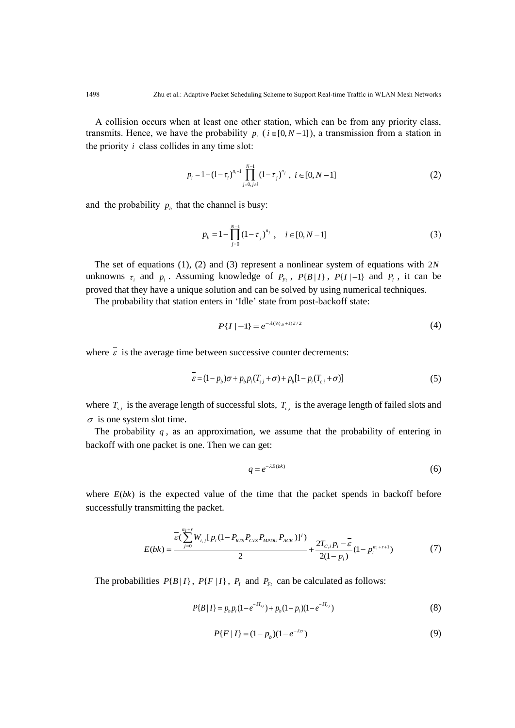A collision occurs when at least one other station, which can be from any priority class, transmits. Hence, we have the probability  $p_i$  ( $i \in [0, N-1]$ ), a transmission from a station in the priority *i* class collides in any time slot:

$$
p_i = 1 - (1 - \tau_i)^{n_i - 1} \prod_{j=0, j \neq i}^{N-1} (1 - \tau_j)^{n_j}, \ i \in [0, N - 1]
$$
 (2)

and the probability  $p_b$  that the channel is busy:

$$
p_b = 1 - \prod_{j=0}^{N-1} (1 - \tau_j)^{n_j}, \quad i \in [0, N-1]
$$
 (3)

The set of equations (1), (2) and (3) represent a nonlinear system of equations with 2*N* unknowns  $\tau_i$  and  $p_i$ . Assuming knowledge of  $P_{Ft}$ ,  $P\{B|I\}$ ,  $P\{I|-1\}$  and  $P_I$ , it can be proved that they have a unique solution and can be solved by using numerical techniques.

The probability that station enters in 'Idle' state from post-backoff state:

$$
P\{I \mid -1\} = e^{-\lambda (W_{i,0} + 1)\bar{\varepsilon}/2} \tag{4}
$$

where  $\varepsilon$  is the average time between successive counter decrements:

$$
\overline{\varepsilon} = (1 - p_b)\sigma + p_b p_i (T_{s,i} + \sigma) + p_b [1 - p_i (T_{c,i} + \sigma)]
$$
\n(5)

where  $T_{s,i}$  is the average length of successful slots,  $T_{c,i}$  is the average length of failed slots and  $\sigma$  is one system slot time.

The probability  $q$ , as an approximation, we assume that the probability of entering in backoff with one packet is one. Then we can get:

$$
q = e^{-\lambda E(bk)}\tag{6}
$$

where  $E(bk)$  is the expected value of the time that the packet spends in backoff before successfully transmitting the packet.

$$
E(bk) = \frac{\overline{\varepsilon}(\sum_{j=0}^{m_i+r} W_{i,j}[p_i(1-P_{RTS}P_{CTS}P_{MPDU}P_{ACK})]^j)}{2} + \frac{2T_{C,i}p_i - \overline{\varepsilon}}{2(1-p_i)}(1-p_i^{m_i+r+1})
$$
(7)

The probabilities  $P\{B | I\}$ ,  $P\{F | I\}$ ,  $P<sub>I</sub>$  and  $P<sub>F<sub>I</sub></sub>$  can be calculated as follows:

$$
P{B|I} = p_b p_i (1 - e^{-\lambda T_{s,i}}) + p_b (1 - p_i) (1 - e^{-\lambda T_{c,i}})
$$
\n(8)

$$
P\{F \mid I\} = (1 - p_b)(1 - e^{-\lambda \sigma})\tag{9}
$$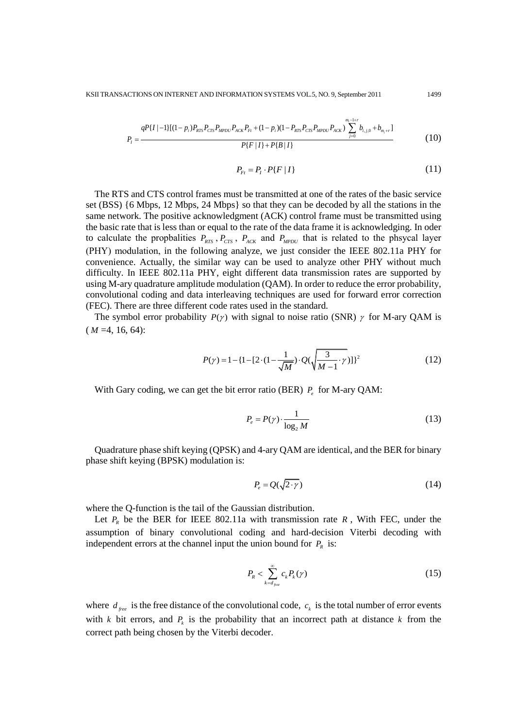$$
P_{I} = \frac{qP\{I \mid -1\}[(1-p_{i})P_{RTS}P_{CTS}P_{MPDU}P_{ACK}P_{F} + (1-p_{i})(1-P_{RTS}P_{CTS}P_{MPDU}P_{ACK})\sum_{j=0}^{m_{i}-1+r}b_{i,j,0} + b_{m_{i}+r}]}{P\{F \mid I\} + P\{B \mid I\}}
$$
(10)

$$
P_{Ft} = P_t \cdot P\{F \mid I\} \tag{11}
$$

The RTS and CTS control frames must be transmitted at one of the rates of the basic service set (BSS) {6 Mbps, 12 Mbps, 24 Mbps} so that they can be decoded by all the stations in the same network. The positive acknowledgment (ACK) control frame must be transmitted using the basic rate that is less than or equal to the rate of the data frame it is acknowledging. In oder to calculate the propbalities  $P_{RTS}$ ,  $P_{RTS}$ ,  $P_{ACK}$  and  $P_{MPDU}$  that is related to the phsycal layer (PHY) modulation, in the following analyze, we just consider the IEEE 802.11a PHY for convenience. Actually, the similar way can be used to analyze other PHY without much difficulty. In IEEE 802.11a PHY, eight different data transmission rates are supported by using M-ary quadrature amplitude modulation (QAM). In order to reduce the error probability, convolutional coding and data interleaving techniques are used for forward error correction (FEC). There are three different code rates used in the standard.

The symbol error probability  $P(\gamma)$  with signal to noise ratio (SNR)  $\gamma$  for M-ary QAM is  $(M = 4, 16, 64)$ :

$$
P(\gamma) = 1 - \{1 - [2 \cdot (1 - \frac{1}{\sqrt{M}}) \cdot Q(\sqrt{\frac{3}{M - 1}} \cdot \gamma)]\}^{2}
$$
 (12)

With Gary coding, we can get the bit error ratio (BER)  $P_e$  for M-ary QAM:

$$
P_e = P(\gamma) \cdot \frac{1}{\log_2 M} \tag{13}
$$

Quadrature phase shift keying (QPSK) and 4-ary QAM are identical, and the BER for binary phase shift keying (BPSK) modulation is:

$$
P_e = Q(\sqrt{2 \cdot \gamma}) \tag{14}
$$

where the Q-function is the tail of the Gaussian distribution.

Let  $P_R$  be the BER for IEEE 802.11a with transmission rate  $R$ , With FEC, under the assumption of binary convolutional coding and hard-decision Viterbi decoding with independent errors at the channel input the union bound for  $P_R$  is:

$$
P_{R} < \sum_{k=d_{free}}^{\infty} c_{k} P_{k}(\gamma) \tag{15}
$$

where  $d_{free}$  is the free distance of the convolutional code,  $c_k$  is the total number of error events with  $k$  bit errors, and  $P_k$  is the probability that an incorrect path at distance  $k$  from the correct path being chosen by the Viterbi decoder.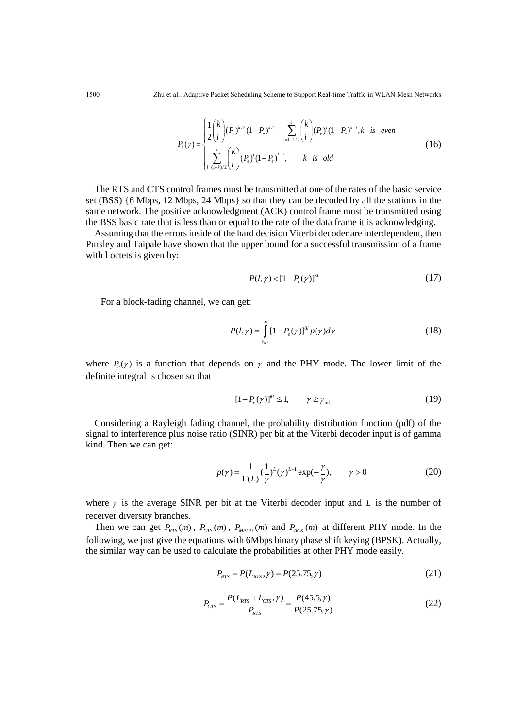$$
P_{k}(\gamma) = \begin{cases} \frac{1}{2} {k \choose i} (P_{e})^{k/2} (1 - P_{e})^{k/2} + \sum_{i=1+k/2}^{k} {k \choose i} (P_{e})^{i} (1 - P_{e})^{k-i}, & \text{is even} \\ \sum_{i=(1+k)/2}^{k} {k \choose i} (P_{e})^{i} (1 - P_{e})^{k-i}, & \text{is odd} \end{cases}
$$
(16)

The RTS and CTS control frames must be transmitted at one of the rates of the basic service set (BSS) {6 Mbps, 12 Mbps, 24 Mbps} so that they can be decoded by all the stations in the same network. The positive acknowledgment (ACK) control frame must be transmitted using the BSS basic rate that is less than or equal to the rate of the data frame it is acknowledging.

Assuming that the errors inside of the hard decision Viterbi decoder are interdependent, then Pursley and Taipale have shown that the upper bound for a successful transmission of a frame with l octets is given by:

$$
P(l, \gamma) < [1 - P_e(\gamma)]^{8l} \tag{17}
$$

For a block-fading channel, we can get:

$$
P(l,\gamma) = \int_{\gamma_{\rm inf}}^{\infty} \left[1 - P_e(\gamma)\right]^{8l} p(\gamma) d\gamma \tag{18}
$$

where  $P_e(\gamma)$  is a function that depends on  $\gamma$  and the PHY mode. The lower limit of the definite integral is chosen so that

$$
[1 - P_e(\gamma)]^{8} \le 1, \qquad \gamma \ge \gamma_{\text{inf}} \tag{19}
$$

Considering a Rayleigh fading channel, the probability distribution function (pdf) of the signal to interference plus noise ratio (SINR) per bit at the Viterbi decoder input is of gamma kind. Then we can get:

$$
p(\gamma) = \frac{1}{\Gamma(L)} \left(\frac{1}{\gamma}\right)^{L} (\gamma)^{L-1} \exp\left(-\frac{\gamma}{\gamma}\right), \qquad \gamma > 0
$$
 (20)

where  $\gamma$  is the average SINR per bit at the Viterbi decoder input and  $L$  is the number of receiver diversity branches.

Then we can get  $P_{RTS}(m)$ ,  $P_{CTS}(m)$ ,  $P_{MPDU}(m)$  and  $P_{ACK}(m)$  at different PHY mode. In the following, we just give the equations with 6Mbps binary phase shift keying (BPSK). Actually, the similar way can be used to calculate the probabilities at other PHY mode easily.

$$
P_{RTS} = P(L_{RTS}, \gamma) = P(25.75, \gamma)
$$
\n(21)

$$
P_{\rm crs} = \frac{P(L_{\rm RTS} + L_{\rm CTS}, \gamma)}{P_{\rm RTS}} = \frac{P(45.5, \gamma)}{P(25.75, \gamma)}
$$
(22)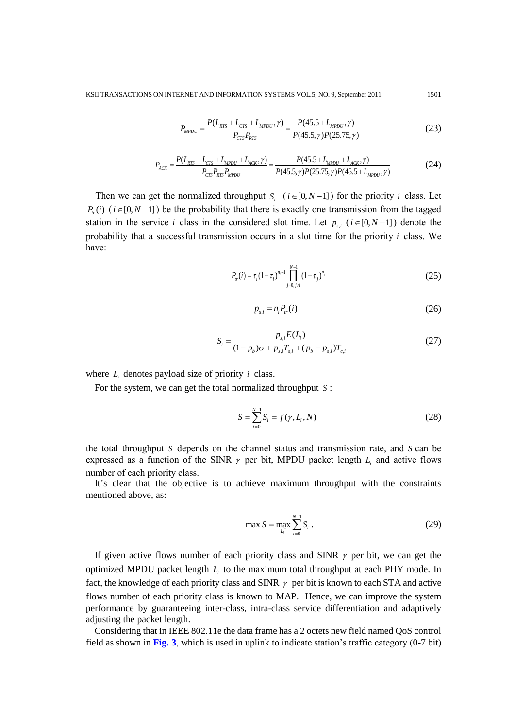$$
P_{MPDU} = \frac{P(L_{RTS} + L_{CTS} + L_{MPDU}, \gamma)}{P_{CTS}P_{RTS}} = \frac{P(45.5 + L_{MPDU}, \gamma)}{P(45.5, \gamma)P(25.75, \gamma)}
$$
(23)

$$
P_{\text{crs}}P_{\text{RTS}} + L_{\text{crs}} + L_{\text{MPDU}} + L_{\text{ACK}}, \gamma) = \frac{P(45.5 + L_{\text{MPDU}} + L_{\text{ACK}}, \gamma)}{P_{\text{crs}}P_{\text{RTS}}P_{\text{MPDU}}} = \frac{P(45.5 + L_{\text{MPDU}} + L_{\text{ACK}}, \gamma)}{P(45.5, \gamma)P(25.75, \gamma)P(45.5 + L_{\text{MPDU}}, \gamma)}
$$
(24)

Then we can get the normalized throughput  $S_i$  ( $i \in [0, N-1]$ ) for the priority  $i$  class. Let  $P_{tr}(i)$  ( $i \in [0, N-1]$ ) be the probability that there is exactly one transmission from the tagged station in the service *i* class in the considered slot time. Let  $p_{s,i}$  ( $i \in [0, N-1]$ ) denote the probability that a successful transmission occurs in a slot time for the priority *i* class. We have:

$$
P_{ir}(i) = \tau_i (1 - \tau_i)^{n_i - 1} \prod_{j=0, j \neq i}^{N-1} (1 - \tau_j)^{n_j}
$$
 (25)

$$
p_{s,i} = n_i P_{tr}(i) \tag{26}
$$

$$
S_i = \frac{p_{s,i}E(L_i)}{(1 - p_b)\sigma + p_{s,i}T_{s,i} + (p_b - p_{s,i})T_{c,i}}
$$
(27)

where  $L_i$  denotes payload size of priority *i* class.

For the system, we can get the total normalized throughput *S* :

$$
S = \sum_{i=0}^{N-1} S_i = f(\gamma, L_i, N)
$$
\n(28)

the total throughput *S* depends on the channel status and transmission rate, and *S* can be expressed as a function of the SINR  $\gamma$  per bit, MPDU packet length  $L_i$  and active flows number of each priority class.

It's clear that the objective is to achieve maximum throughput with the constraints mentioned above, as:

$$
\max S = \max_{L_i} \sum_{i=0}^{N-1} S_i \tag{29}
$$

If given active flows number of each priority class and SINR  $\gamma$  per bit, we can get the optimized MPDU packet length *Li* to the maximum total throughput at each PHY mode. In fact, the knowledge of each priority class and SINR  $\gamma$  per bit is known to each STA and active flows number of each priority class is known to MAP. Hence, we can improve the system performance by guaranteeing inter-class, intra-class service differentiation and adaptively adjusting the packet length.

Considering that in IEEE 802.11e the data frame has a 2 octets new field named QoS control field as shown in **Fig. 3**, which is used in uplink to indicate station's traffic category (0-7 bit)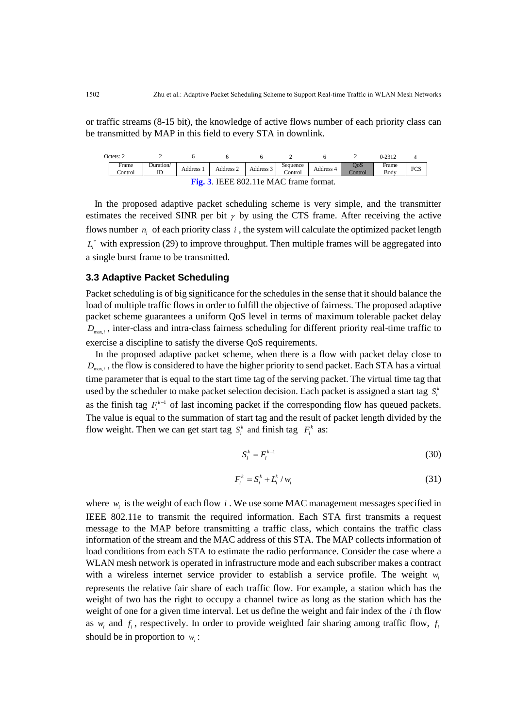or traffic streams (8-15 bit), the knowledge of active flows number of each priority class can be transmitted by MAP in this field to every STA in downlink.

| Octets: 2                              |                  |                 |         |           |           |                     |           | ∼              | $0 - 2312$    |     |
|----------------------------------------|------------------|-----------------|---------|-----------|-----------|---------------------|-----------|----------------|---------------|-----|
|                                        | Frame<br>Control | Duration/<br>ID | Address | Address 2 | Address 3 | Sequence<br>Control | Address 4 | OoS<br>Control | Frame<br>Body | FCS |
| Fig. 3. IEEE 802.11e MAC frame format. |                  |                 |         |           |           |                     |           |                |               |     |

In the proposed adaptive packet scheduling scheme is very simple, and the transmitter estimates the received SINR per bit  $\gamma$  by using the CTS frame. After receiving the active flows number  $n_i$  of each priority class  $i$ , the system will calculate the optimized packet length  $L_i^*$  with expression (29) to improve throughput. Then multiple frames will be aggregated into a single burst frame to be transmitted.

#### **3.3 Adaptive Packet Scheduling**

Packet scheduling is of big significance for the schedules in the sense that it should balance the load of multiple traffic flows in order to fulfill the objective of fairness. The proposed adaptive packet scheme guarantees a uniform QoS level in terms of maximum tolerable packet delay *D*max,*<sup>i</sup>* , inter-class and intra-class fairness scheduling for different priority real-time traffic to exercise a discipline to satisfy the diverse QoS requirements.

In the proposed adaptive packet scheme, when there is a flow with packet delay close to  $D_{\text{max},i}$ , the flow is considered to have the higher priority to send packet. Each STA has a virtual time parameter that is equal to the start time tag of the serving packet. The virtual time tag that used by the scheduler to make packet selection decision. Each packet is assigned a start tag  $S_i^k$ as the finish tag  $F_i^{k-1}$  of last incoming packet if the corresponding flow has queued packets. The value is equal to the summation of start tag and the result of packet length divided by the flow weight. Then we can get start tag  $S_i^k$  and finish tag  $F_i^k$  as:

$$
S_i^k = F_i^{k-1} \tag{30}
$$

$$
F_i^k = S_i^k + L_i^k / w_i \tag{31}
$$

where  $w_i$  is the weight of each flow  $i$ . We use some MAC management messages specified in IEEE 802.11e to transmit the required information. Each STA first transmits a request message to the MAP before transmitting a traffic class, which contains the traffic class information of the stream and the MAC address of this STA. The MAP collects information of load conditions from each STA to estimate the radio performance. Consider the case where a WLAN mesh network is operated in infrastructure mode and each subscriber makes a contract with a wireless internet service provider to establish a service profile. The weight *wi* represents the relative fair share of each traffic flow. For example, a station which has the weight of two has the right to occupy a channel twice as long as the station which has the weight of one for a given time interval. Let us define the weight and fair index of the *i* th flow as  $w_i$  and  $f_i$ , respectively. In order to provide weighted fair sharing among traffic flow,  $f_i$ should be in proportion to  $w_i$ :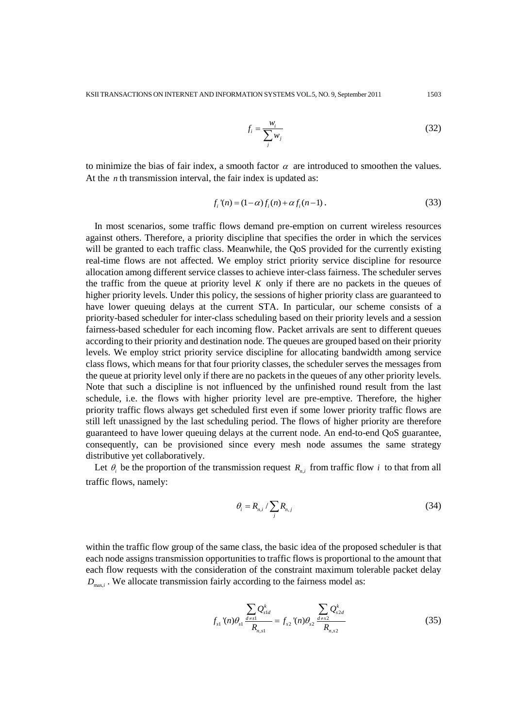$$
f_i = \frac{w_i}{\sum_j w_j} \tag{32}
$$

to minimize the bias of fair index, a smooth factor  $\alpha$  are introduced to smoothen the values. At the  $n$ <sup>th</sup> transmission interval, the fair index is updated as:

$$
f_i'(n) = (1 - \alpha) f_i(n) + \alpha f_i(n-1).
$$
 (33)

In most scenarios, some traffic flows demand pre-emption on current wireless resources against others. Therefore, a priority discipline that specifies the order in which the services will be granted to each traffic class. Meanwhile, the QoS provided for the currently existing real-time flows are not affected. We employ strict priority service discipline for resource allocation among different service classes to achieve inter-class fairness. The scheduler serves the traffic from the queue at priority level  $K$  only if there are no packets in the queues of higher priority levels. Under this policy, the sessions of higher priority class are guaranteed to have lower queuing delays at the current STA. In particular, our scheme consists of a priority-based scheduler for inter-class scheduling based on their priority levels and a session fairness-based scheduler for each incoming flow. Packet arrivals are sent to different queues according to their priority and destination node. The queues are grouped based on their priority levels. We employ strict priority service discipline for allocating bandwidth among service class flows, which means for that four priority classes, the scheduler serves the messages from the queue at priority level only if there are no packets in the queues of any other priority levels. Note that such a discipline is not influenced by the unfinished round result from the last schedule, i.e. the flows with higher priority level are pre-emptive. Therefore, the higher priority traffic flows always get scheduled first even if some lower priority traffic flows are still left unassigned by the last scheduling period. The flows of higher priority are therefore guaranteed to have lower queuing delays at the current node. An end-to-end QoS guarantee, consequently, can be provisioned since every mesh node assumes the same strategy distributive yet collaboratively.

Let  $\theta_i$  be the proportion of the transmission request  $R_{n,i}$  from traffic flow *i* to that from all traffic flows, namely:

$$
\theta_i = R_{n,i} / \sum_j R_{n,j} \tag{34}
$$

within the traffic flow group of the same class, the basic idea of the proposed scheduler is that each node assigns transmission opportunities to traffic flows is proportional to the amount that each flow requests with the consideration of the constraint maximum tolerable packet delay  $D_{\text{max},i}$ . We allocate transmission fairly according to the fairness model as:

$$
f_{s1}^{\prime\prime}(n)\theta_{s1}^{\frac{A}{d\neq s1}}\frac{\sum_{d\neq s1}Q_{s1d}^k}{R_{n,s1}} = f_{s2}^{\prime\prime}(n)\theta_{s2}^{\frac{A\neq s2}{d\neq s2}}\frac{\sum_{d\neq s2}Q_{s2d}^k}{R_{n,s2}}
$$
(35)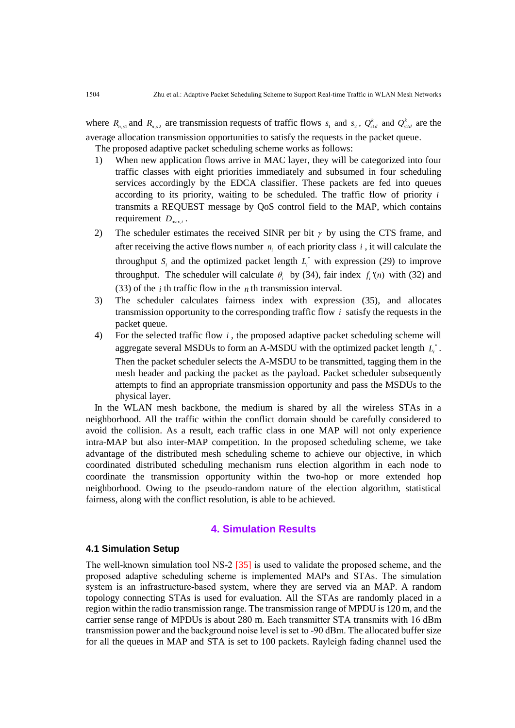where  $R_{n,s1}$  and  $R_{n,s2}$  are transmission requests of traffic flows  $s_1$  and  $s_2$ ,  $Q_{s1d}^k$  and  $Q_{s2d}^k$  are the average allocation transmission opportunities to satisfy the requests in the packet queue.

The proposed adaptive packet scheduling scheme works as follows:

- 1) When new application flows arrive in MAC layer, they will be categorized into four traffic classes with eight priorities immediately and subsumed in four scheduling services accordingly by the EDCA classifier. These packets are fed into queues according to its priority, waiting to be scheduled. The traffic flow of priority *i* transmits a REQUEST message by QoS control field to the MAP, which contains requirement  $D_{\max,i}$ .
- 2) The scheduler estimates the received SINR per bit  $\gamma$  by using the CTS frame, and after receiving the active flows number  $n_i$  of each priority class  $i$ , it will calculate the throughput  $S_i$  and the optimized packet length  $L_i^*$  with expression (29) to improve throughput. The scheduler will calculate  $\theta_i$  by (34), fair index  $f_i(n)$  with (32) and (33) of the *i* th traffic flow in the *n* th transmission interval.
- 3) The scheduler calculates fairness index with expression (35), and allocates transmission opportunity to the corresponding traffic flow *i* satisfy the requests in the packet queue.
- 4) For the selected traffic flow *i* , the proposed adaptive packet scheduling scheme will aggregate several MSDUs to form an A-MSDU with the optimized packet length  $L_i^*$ . Then the packet scheduler selects the A-MSDU to be transmitted, tagging them in the mesh header and packing the packet as the payload. Packet scheduler subsequently attempts to find an appropriate transmission opportunity and pass the MSDUs to the physical layer.

In the WLAN mesh backbone, the medium is shared by all the wireless STAs in a neighborhood. All the traffic within the conflict domain should be carefully considered to avoid the collision. As a result, each traffic class in one MAP will not only experience intra-MAP but also inter-MAP competition. In the proposed scheduling scheme, we take advantage of the distributed mesh scheduling scheme to achieve our objective, in which coordinated distributed scheduling mechanism runs election algorithm in each node to coordinate the transmission opportunity within the two-hop or more extended hop neighborhood. Owing to the pseudo-random nature of the election algorithm, statistical fairness, along with the conflict resolution, is able to be achieved.

# **4. Simulation Results**

## **4.1 Simulation Setup**

The well-known simulation tool NS-2 [35] is used to validate the proposed scheme, and the proposed adaptive scheduling scheme is implemented MAPs and STAs. The simulation system is an infrastructure-based system, where they are served via an MAP. A random topology connecting STAs is used for evaluation. All the STAs are randomly placed in a region within the radio transmission range. The transmission range of MPDU is 120 m, and the carrier sense range of MPDUs is about 280 m. Each transmitter STA transmits with 16 dBm transmission power and the background noise level is set to -90 dBm. The allocated buffer size for all the queues in MAP and STA is set to 100 packets. Rayleigh fading channel used the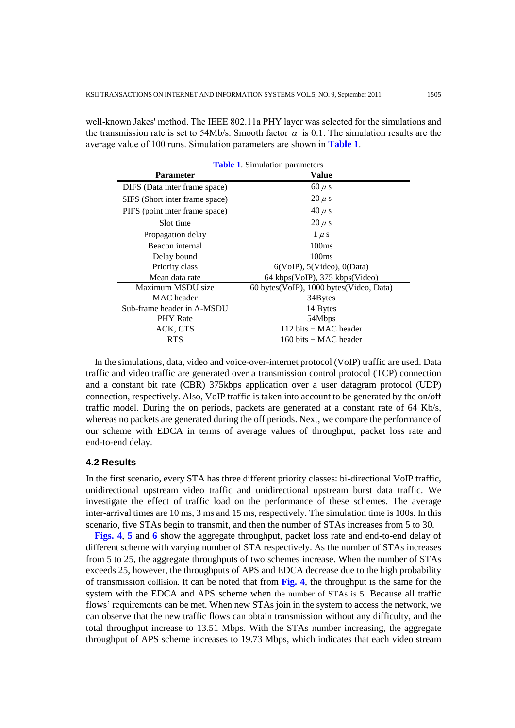well-known Jakes' method. The IEEE 802.11a PHY layer was selected for the simulations and the transmission rate is set to 54Mb/s. Smooth factor  $\alpha$  is 0.1. The simulation results are the average value of 100 runs. Simulation parameters are shown in **Table 1**.

| <b>Parameter</b>               | <b>Value</b>                            |  |  |  |  |
|--------------------------------|-----------------------------------------|--|--|--|--|
| DIFS (Data inter frame space)  | $60 \mu s$                              |  |  |  |  |
| SIFS (Short inter frame space) | $20 \mu s$                              |  |  |  |  |
| PIFS (point inter frame space) | $40 \mu s$                              |  |  |  |  |
| Slot time                      | $20 \mu s$                              |  |  |  |  |
| Propagation delay              | $1 \mu s$                               |  |  |  |  |
| Beacon internal                | 100ms                                   |  |  |  |  |
| Delay bound                    | 100 <sub>ms</sub>                       |  |  |  |  |
| Priority class                 | $6(VoIP)$ , $5(Video)$ , $0(Data)$      |  |  |  |  |
| Mean data rate                 | 64 kbps(VoIP), 375 kbps(Video)          |  |  |  |  |
| Maximum MSDU size              | 60 bytes(VoIP), 1000 bytes(Video, Data) |  |  |  |  |
| MAC header                     | 34Bytes                                 |  |  |  |  |
| Sub-frame header in A-MSDU     | 14 Bytes                                |  |  |  |  |
| <b>PHY</b> Rate                | 54Mbps                                  |  |  |  |  |
| ACK, CTS                       | 112 bits + MAC header                   |  |  |  |  |
| <b>RTS</b>                     | 160 bits + MAC header                   |  |  |  |  |

**Table 1**. Simulation parameters

In the simulations, data, video and voice-over-internet protocol (VoIP) traffic are used. Data traffic and video traffic are generated over a transmission control protocol (TCP) connection and a constant bit rate (CBR) 375kbps application over a user datagram protocol (UDP) connection, respectively. Also, VoIP traffic is taken into account to be generated by the on/off traffic model. During the on periods, packets are generated at a constant rate of 64 Kb/s, whereas no packets are generated during the off periods. Next, we compare the performance of our scheme with EDCA in terms of average values of throughput, packet loss rate and end-to-end delay.

## **4.2 Results**

In the first scenario, every STA has three different priority classes: bi-directional VoIP traffic, unidirectional upstream video traffic and unidirectional upstream burst data traffic. We investigate the effect of traffic load on the performance of these schemes. The average inter-arrival times are 10 ms, 3 ms and 15 ms, respectively. The simulation time is 100s. In this scenario, five STAs begin to transmit, and then the number of STAs increases from 5 to 30.

**Figs. 4**, **5** and **6** show the aggregate throughput, packet loss rate and end-to-end delay of different scheme with varying number of STA respectively. As the number of STAs increases from 5 to 25, the aggregate throughputs of two schemes increase. When the number of STAs exceeds 25, however, the throughputs of APS and EDCA decrease due to the high probability of transmission collision. It can be noted that from **Fig. 4**, the throughput is the same for the system with the EDCA and APS scheme when the number of STAs is 5. Because all traffic flows' requirements can be met. When new STAs join in the system to access the network, we can observe that the new traffic flows can obtain transmission without any difficulty, and the total throughput increase to 13.51 Mbps. With the STAs number increasing, the aggregate throughput of APS scheme increases to 19.73 Mbps, which indicates that each video stream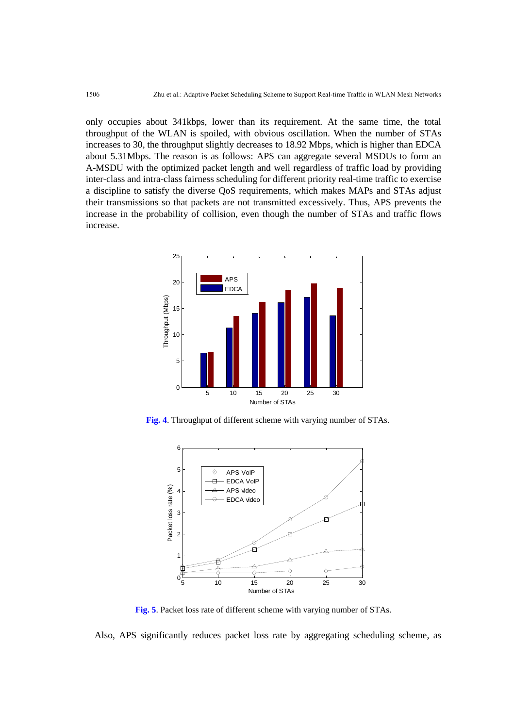only occupies about 341kbps, lower than its requirement. At the same time, the total throughput of the WLAN is spoiled, with obvious oscillation. When the number of STAs increases to 30, the throughput slightly decreases to 18.92 Mbps, which is higher than EDCA about 5.31Mbps. The reason is as follows: APS can aggregate several MSDUs to form an A-MSDU with the optimized packet length and well regardless of traffic load by providing inter-class and intra-class fairness scheduling for different priority real-time traffic to exercise a discipline to satisfy the diverse QoS requirements, which makes MAPs and STAs adjust their transmissions so that packets are not transmitted excessively. Thus, APS prevents the increase in the probability of collision, even though the number of STAs and traffic flows increase.



**Fig. 4**. Throughput of different scheme with varying number of STAs.



**Fig. 5**. Packet loss rate of different scheme with varying number of STAs.

Also, APS significantly reduces packet loss rate by aggregating scheduling scheme, as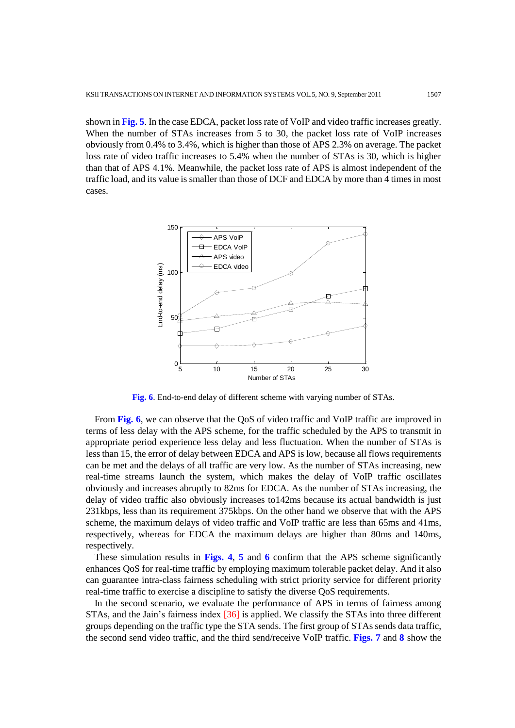shown in **Fig. 5**. In the case EDCA, packet loss rate of VoIP and video traffic increases greatly. When the number of STAs increases from 5 to 30, the packet loss rate of VoIP increases obviously from 0.4% to 3.4%, which is higher than those of APS 2.3% on average. The packet loss rate of video traffic increases to 5.4% when the number of STAs is 30, which is higher than that of APS 4.1%. Meanwhile, the packet loss rate of APS is almost independent of the traffic load, and its value is smaller than those of DCF and EDCA by more than 4 times in most cases.



**Fig. 6**. End-to-end delay of different scheme with varying number of STAs.

From **Fig. 6**, we can observe that the QoS of video traffic and VoIP traffic are improved in terms of less delay with the APS scheme, for the traffic scheduled by the APS to transmit in appropriate period experience less delay and less fluctuation. When the number of STAs is less than 15, the error of delay between EDCA and APS is low, because all flows requirements can be met and the delays of all traffic are very low. As the number of STAs increasing, new real-time streams launch the system, which makes the delay of VoIP traffic oscillates obviously and increases abruptly to 82ms for EDCA. As the number of STAs increasing, the delay of video traffic also obviously increases to142ms because its actual bandwidth is just 231kbps, less than its requirement 375kbps. On the other hand we observe that with the APS scheme, the maximum delays of video traffic and VoIP traffic are less than 65ms and 41ms, respectively, whereas for EDCA the maximum delays are higher than 80ms and 140ms, respectively.

These simulation results in **Figs. 4**, **5** and **6** confirm that the APS scheme significantly enhances QoS for real-time traffic by employing maximum tolerable packet delay. And it also can guarantee intra-class fairness scheduling with strict priority service for different priority real-time traffic to exercise a discipline to satisfy the diverse QoS requirements.

In the second scenario, we evaluate the performance of APS in terms of fairness among STAs, and the Jain's fairness index [36] is applied. We classify the STAs into three different groups depending on the traffic type the STA sends. The first group of STAs sends data traffic, the second send video traffic, and the third send/receive VoIP traffic. **Figs. 7** and **8** show the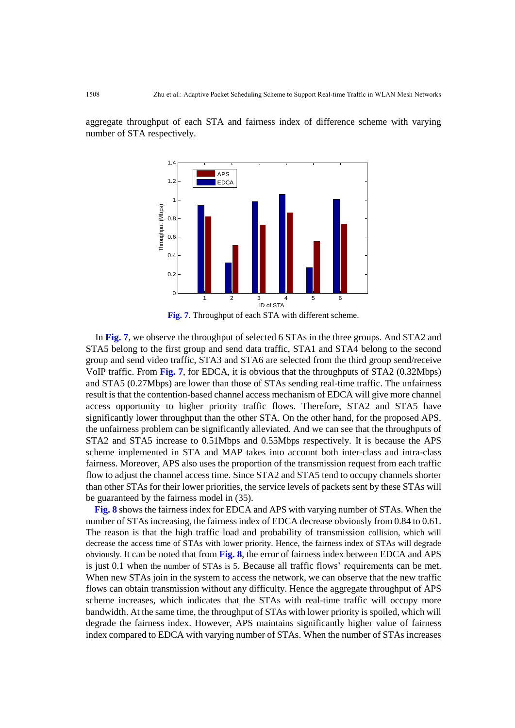aggregate throughput of each STA and fairness index of difference scheme with varying number of STA respectively.



**Fig. 7**. Throughput of each STA with different scheme.

In **Fig. 7**, we observe the throughput of selected 6 STAs in the three groups. And STA2 and STA5 belong to the first group and send data traffic, STA1 and STA4 belong to the second group and send video traffic, STA3 and STA6 are selected from the third group send/receive VoIP traffic. From **Fig. 7**, for EDCA, it is obvious that the throughputs of STA2 (0.32Mbps) and STA5 (0.27Mbps) are lower than those of STAs sending real-time traffic. The unfairness result is that the contention-based channel access mechanism of EDCA will give more channel access opportunity to higher priority traffic flows. Therefore, STA2 and STA5 have significantly lower throughput than the other STA. On the other hand, for the proposed APS, the unfairness problem can be significantly alleviated. And we can see that the throughputs of STA2 and STA5 increase to 0.51Mbps and 0.55Mbps respectively. It is because the APS scheme implemented in STA and MAP takes into account both inter-class and intra-class fairness. Moreover, APS also uses the proportion of the transmission request from each traffic flow to adjust the channel access time. Since STA2 and STA5 tend to occupy channels shorter than other STAs for their lower priorities, the service levels of packets sent by these STAs will be guaranteed by the fairness model in (35).

**Fig. 8** shows the fairness index for EDCA and APS with varying number of STAs. When the number of STAs increasing, the fairness index of EDCA decrease obviously from 0.84 to 0.61. The reason is that the high traffic load and probability of transmission collision, which will decrease the access time of STAs with lower priority. Hence, the fairness index of STAs will degrade obviously. It can be noted that from **Fig. 8**, the error of fairness index between EDCA and APS is just 0.1 when the number of STAs is 5. Because all traffic flows' requirements can be met. When new STAs join in the system to access the network, we can observe that the new traffic flows can obtain transmission without any difficulty. Hence the aggregate throughput of APS scheme increases, which indicates that the STAs with real-time traffic will occupy more bandwidth. At the same time, the throughput of STAs with lower priority is spoiled, which will degrade the fairness index. However, APS maintains significantly higher value of fairness index compared to EDCA with varying number of STAs. When the number of STAs increases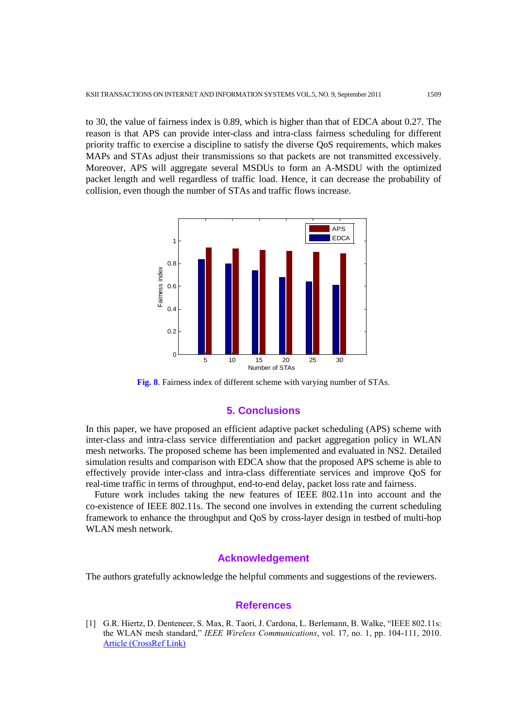to 30, the value of fairness index is 0.89, which is higher than that of EDCA about 0.27. The reason is that APS can provide inter-class and intra-class fairness scheduling for different priority traffic to exercise a discipline to satisfy the diverse QoS requirements, which makes MAPs and STAs adjust their transmissions so that packets are not transmitted excessively. Moreover, APS will aggregate several MSDUs to form an A-MSDU with the optimized packet length and well regardless of traffic load. Hence, it can decrease the probability of collision, even though the number of STAs and traffic flows increase.



**Fig. 8**. Fairness index of different scheme with varying number of STAs.

## **5. Conclusions**

In this paper, we have proposed an efficient adaptive packet scheduling (APS) scheme with inter-class and intra-class service differentiation and packet aggregation policy in WLAN mesh networks. The proposed scheme has been implemented and evaluated in NS2. Detailed simulation results and comparison with EDCA show that the proposed APS scheme is able to effectively provide inter-class and intra-class differentiate services and improve QoS for real-time traffic in terms of throughput, end-to-end delay, packet loss rate and fairness.

Future work includes taking the new features of IEEE 802.11n into account and the co-existence of IEEE 802.11s. The second one involves in extending the current scheduling framework to enhance the throughput and QoS by cross-layer design in testbed of multi-hop WLAN mesh network.

## **Acknowledgement**

The authors gratefully acknowledge the helpful comments and suggestions of the reviewers.

#### **References**

[1] G.R. Hiertz, D. Denteneer, S. Max, R. Taori, J. Cardona, L. Berlemann, B. Walke, "IEEE 802.11s: the WLAN mesh standard," *IEEE Wireless Communications*, vol. 17, no. 1, pp. 104-111, 2010. [Article \(CrossRef Link\)](http://dx.doi.org/10.1109/MWC.2010.5416357)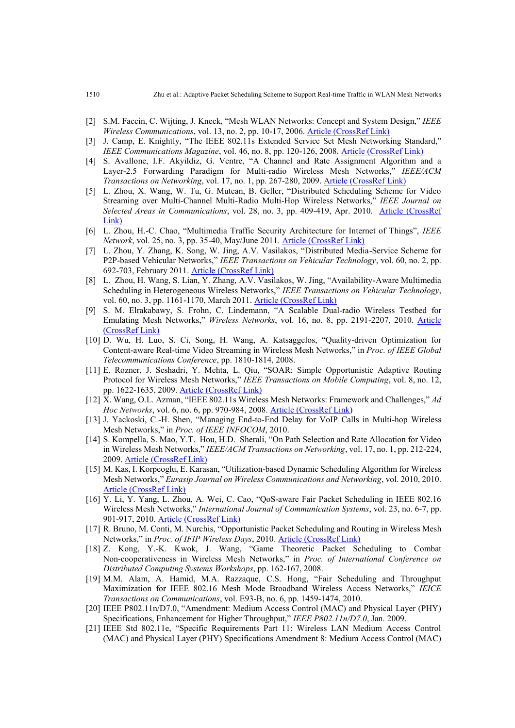- [2] S.M. Faccin, C. Wijting, J. Kneck, "Mesh WLAN Networks: Concept and System Design," *IEEE Wireless Communications*, vol. 13, no. 2, pp. 10-17, 2006. [Article \(CrossRef Link\)](http://dx.doi.org/10.1109/MWC.2006.1632476)
- [3] J. Camp, E. Knightly, "The IEEE 802.11s Extended Service Set Mesh Networking Standard," *IEEE Communications Magazine*, vol. 46, no. 8, pp. 120-126, 2008. [Article \(CrossRef Link\)](http://dx.doi.org/10.1109/MCOM.2008.4597114)
- [4] S. Avallone, I.F. Akyildiz, G. Ventre, "A Channel and Rate Assignment Algorithm and a Layer-2.5 Forwarding Paradigm for Multi-radio Wireless Mesh Networks," *IEEE/ACM Transactions on Networking*, vol. 17, no. 1, pp. 267-280, 2009. [Article \(CrossRef Link\)](http://dx.doi.org/10.1109/TNET.2008.918091)
- [5] L. Zhou, X. Wang, W. Tu, G. Mutean, B. Geller, "Distributed Scheduling Scheme for Video Streaming over Multi-Channel Multi-Radio Multi-Hop Wireless Networks," *IEEE Journal on Selected Areas in Communications*, vol. 28, no. 3, pp. 409-419, Apr. 2010. [Article \(CrossRef](http://dx.doi.org/10.1109/JSAC.2010.100412)  [Link\)](http://dx.doi.org/10.1109/JSAC.2010.100412)
- [6] L. Zhou, H.-C. Chao, "Multimedia Traffic Security Architecture for Internet of Things", *IEEE Network*, vol. 25, no. 3, pp. 35-40, May/June 2011. [Article \(CrossRef Link\)](http://dx.doi.org/10.1109/MNET.2011.5772059)
- [7] L. Zhou, Y. Zhang, K. Song, W. Jing, A.V. Vasilakos, "Distributed Media-Service Scheme for P2P-based Vehicular Networks," *IEEE Transactions on Vehicular Technology*, vol. 60, no. 2, pp. 692-703, February 2011. [Article \(CrossRef Link\)](http://dx.doi.org/10.1109/TVT.2010.2102782)
- [8] L. Zhou, H. Wang, S. Lian, Y. Zhang, A.V. Vasilakos, W. Jing, "Availability-Aware Multimedia Scheduling in Heterogeneous Wireless Networks," *IEEE Transactions on Vehicular Technology*, vol. 60, no. 3, pp. 1161-1170, March 2011. [Article \(CrossRef Link\)](http://dx.doi.org/10.1109/TVT.2011.2104420)
- [9] S. M. Elrakabawy, S. Frohn, C. Lindemann, "A Scalable Dual-radio Wireless Testbed for Emulating Mesh Networks," *Wireless Networks*, vol. 16, no. 8, pp. 2191-2207, 2010. [Article](http://dx.doi.org/10.1007/s11276-010-0253-3)  [\(CrossRef Link\)](http://dx.doi.org/10.1007/s11276-010-0253-3)
- [10] D. Wu, H. Luo, S. Ci, Song, H. Wang, A. Katsaggelos, "Quality-driven Optimization for Content-aware Real-time Video Streaming in Wireless Mesh Networks," in *Proc. of IEEE Global Telecommunications Conference*, pp. 1810-1814, 2008.
- [11] E. Rozner, J. Seshadri, Y. Mehta, L. Qiu, "SOAR: Simple Opportunistic Adaptive Routing Protocol for Wireless Mesh Networks," *IEEE Transactions on Mobile Computing*, vol. 8, no. 12, pp. 1622-1635, 2009. [Article \(CrossRef Link\)](http://dx.doi.org/10.1109/TMC.2009.82)
- [12] X. Wang, O.L. Azman, "IEEE 802.11s Wireless Mesh Networks: Framework and Challenges," *Ad Hoc Networks*, vol. 6, no. 6, pp. 970-984, 2008. [Article \(CrossRef Link\)](ttp://dx.doi.org/10.1016/j.adhoc.2007.09.003)
- [13] J. Yackoski, C.-H. Shen, "Managing End-to-End Delay for VoIP Calls in Multi-hop Wireless Mesh Networks," in *Proc. of IEEE INFOCOM*, 2010.
- [14] S. Kompella, S. Mao, Y.T. Hou, H.D. Sherali, "On Path Selection and Rate Allocation for Video in Wireless Mesh Networks," *IEEE/ACM Transactions on Networking*, vol. 17, no. 1, pp. 212-224, 2009. [Article \(CrossRef Link\)](http://dx.doi.org/10.1109/TNET.2008.925942)
- [15] M. Kas, I. Korpeoglu, E. Karasan, "Utilization-based Dynamic Scheduling Algorithm for Wireless Mesh Networks," *Eurasip Journal on Wireless Communications and Networking*, vol. 2010, 2010. [Article \(CrossRef Link\)](http://dx.doi.org/10.1109/WD.2010.5657736)
- [16] Y. Li, Y. Yang, L. Zhou, A. Wei, C. Cao, "QoS-aware Fair Packet Scheduling in IEEE 802.16 Wireless Mesh Networks," *International Journal of Communication Systems*, vol. 23, no. 6-7, pp. 901-917, 2010. [Article \(CrossRef Link\)](http://dx.doi.org/10.1109/WD.2010.5657736)
- [17] R. Bruno, M. Conti, M. Nurchis, "Opportunistic Packet Scheduling and Routing in Wireless Mesh Networks," in *Proc. of IFIP Wireless Days*, 2010. [Article \(CrossRef Link\)](http://dx.doi.org/10.1109/WD.2010.5657736)
- [18] Z. Kong, Y.-K. Kwok, J. Wang, "Game Theoretic Packet Scheduling to Combat Non-cooperativeness in Wireless Mesh Networks," in *Proc. of International Conference on Distributed Computing Systems Workshops*, pp. 162-167, 2008.
- [19] M.M. Alam, A. Hamid, M.A. Razzaque, C.S. Hong, "Fair Scheduling and Throughput Maximization for IEEE 802.16 Mesh Mode Broadband Wireless Access Networks," *IEICE Transactions on Communications*, vol. E93-B, no. 6, pp. 1459-1474, 2010.
- [20] IEEE P802.11n/D7.0, "Amendment: Medium Access Control (MAC) and Physical Layer (PHY) Specifications, Enhancement for Higher Throughput," *IEEE P802.11n/D7.0*, Jan. 2009.
- [21] IEEE Std 802.11e, "Specific Requirements Part 11: Wireless LAN Medium Access Control (MAC) and Physical Layer (PHY) Specifications Amendment 8: Medium Access Control (MAC)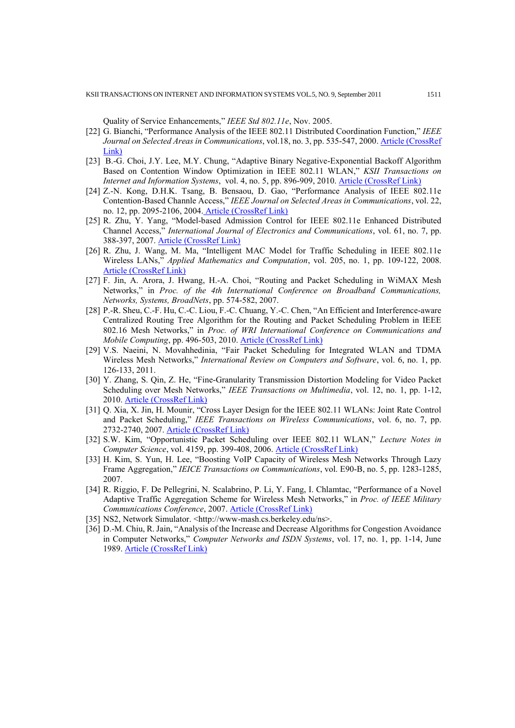Quality of Service Enhancements," *IEEE Std 802.11e*, Nov. 2005.

- [22] G. Bianchi, "Performance Analysis of the IEEE 802.11 Distributed Coordination Function," *IEEE Journal on Selected Areas in Communications*, vol.18, no. 3, pp. 535-547, 2000. [Article \(CrossRef](http://dx.doi.org/10.1109/49.840210)  [Link\)](http://dx.doi.org/10.1109/49.840210)
- [23] B.-G. Choi, J.Y. Lee, M.Y. Chung, "Adaptive Binary Negative-Exponential Backoff Algorithm Based on Contention Window Optimization in IEEE 802.11 WLAN," *KSII Transactions on Internet and Information Systems, vol.* 4, no. 5, pp. 896-909, 2010. [Article \(CrossRef Link\)](http://dx.doi.org/10.3837/tiis.2010.04.001)
- [24] Z.-N. Kong, D.H.K. Tsang, B. Bensaou, D. Gao, "Performance Analysis of IEEE 802.11e Contention-Based Channle Access," *IEEE Journal on Selected Areas in Communications*, vol. 22, no. 12, pp. 2095-2106, 2004. [Article \(CrossRef Link\)](http://dx.doi.org/10.1109/JSAC.2004.836019)
- [25] R. Zhu, Y. Yang, "Model-based Admission Control for IEEE 802.11e Enhanced Distributed Channel Access," *International Journal of Electronics and Communications*, vol. 61, no. 7, pp. 388-397, 2007. [Article \(CrossRef Link\)](http://dx.doi.org/10.1016/j.aeue.2006.07.007)
- [26] R. Zhu, J. Wang, M. Ma, "Intelligent MAC Model for Traffic Scheduling in IEEE 802.11e Wireless LANs," *Applied Mathematics and Computation*, vol. 205, no. 1, pp. 109-122, 2008. [Article \(CrossRef Link\)](http://dx.doi.org/10.1016/j.amc.2008.05.052)
- [27] F. Jin, A. Arora, J. Hwang, H.-A. Choi, "Routing and Packet Scheduling in WiMAX Mesh Networks," in *Proc. of the 4th International Conference on Broadband Communications, Networks, Systems, BroadNets*, pp. 574-582, 2007.
- [28] P.-R. Sheu, C.-F. Hu, C.-C. Liou, F.-C. Chuang, Y.-C. Chen, "An Efficient and Interference-aware Centralized Routing Tree Algorithm for the Routing and Packet Scheduling Problem in IEEE 802.16 Mesh Networks," in *Proc. of WRI International Conference on Communications and Mobile Computing*, pp. 496-503, 2010. [Article \(CrossRef Link\)](http://dx.doi.org/10.1109/CMC.2010.340)
- [29] V.S. Naeini, N. Movahhedinia, "Fair Packet Scheduling for Integrated WLAN and TDMA Wireless Mesh Networks," *International Review on Computers and Software*, vol. 6, no. 1, pp. 126-133, 2011.
- [30] Y. Zhang, S. Qin, Z. He, "Fine-Granularity Transmission Distortion Modeling for Video Packet Scheduling over Mesh Networks," *IEEE Transactions on Multimedia*, vol. 12, no. 1, pp. 1-12, 2010. [Article \(CrossRef Link\)](http://dx.doi.org/10.1109/TMM.2009.2036290)
- [31] Q. Xia, X. Jin, H. Mounir, "Cross Layer Design for the IEEE 802.11 WLANs: Joint Rate Control and Packet Scheduling," *IEEE Transactions on Wireless Communications*, vol. 6, no. 7, pp. 2732-2740, 2007. [Article \(CrossRef Link\)](http://dx.doi.org/10.1109/TWC.2007.06019)
- [32] S.W. Kim, "Opportunistic Packet Scheduling over IEEE 802.11 WLAN," *Lecture Notes in Computer Science*, vol. 4159, pp. 399-408, 2006. [Article \(CrossRef Link\)](http://dx.doi.org/10.1007/11833529_41)
- [33] H. Kim, S. Yun, H. Lee, "Boosting VoIP Capacity of Wireless Mesh Networks Through Lazy Frame Aggregation," *IEICE Transactions on Communications*, vol. E90-B, no. 5, pp. 1283-1285, 2007.
- [34] R. Riggio, F. De Pellegrini, N. Scalabrino, P. Li, Y. Fang, I. Chlamtac, "Performance of a Novel Adaptive Traffic Aggregation Scheme for Wireless Mesh Networks," in *Proc. of IEEE Military Communications Conference*, 2007. [Article \(CrossRef Link\)](http://dx.doi.org/10.1109/MILCOM.2007.4454990)
- [35] NS2, Network Simulator. <http://www-mash.cs.berkeley.edu/ns>.
- [36] D.-M. Chiu, R. Jain, "Analysis of the Increase and Decrease Algorithms for Congestion Avoidance in Computer Networks," *Computer Networks and ISDN Systems*, vol. 17, no. 1, pp. 1-14, June 1989. [Article \(CrossRef Link\)](http://dx.doi.org/10.1016/0169-7552(89)90019-6)